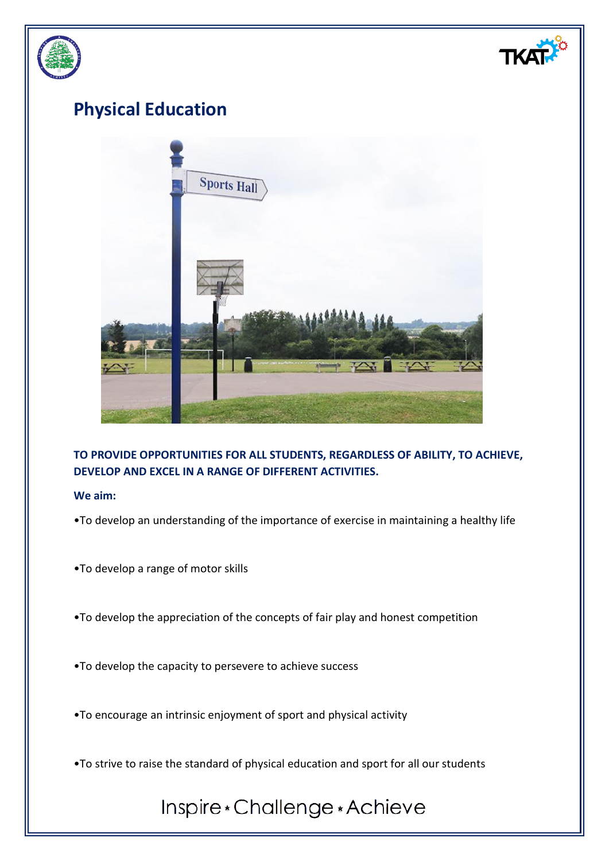

**TO PROVIDE OPPORTUNITIES FOR ALL STUDENTS, REGARDLESS OF ABILITY, TO ACHIEVE, DEVELOP AND EXCEL IN A RANGE OF DIFFERENT ACTIVITIES.**

**We aim:**

- •To develop an understanding of the importance of exercise in maintaining a healthy life
- •To develop a range of motor skills
- •To develop the appreciation of the concepts of fair play and honest competition
- •To develop the capacity to persevere to achieve success
- •To encourage an intrinsic enjoyment of sport and physical activity
- •To strive to raise the standard of physical education and sport for all our students

## Inspire\*Challenge\*Achieve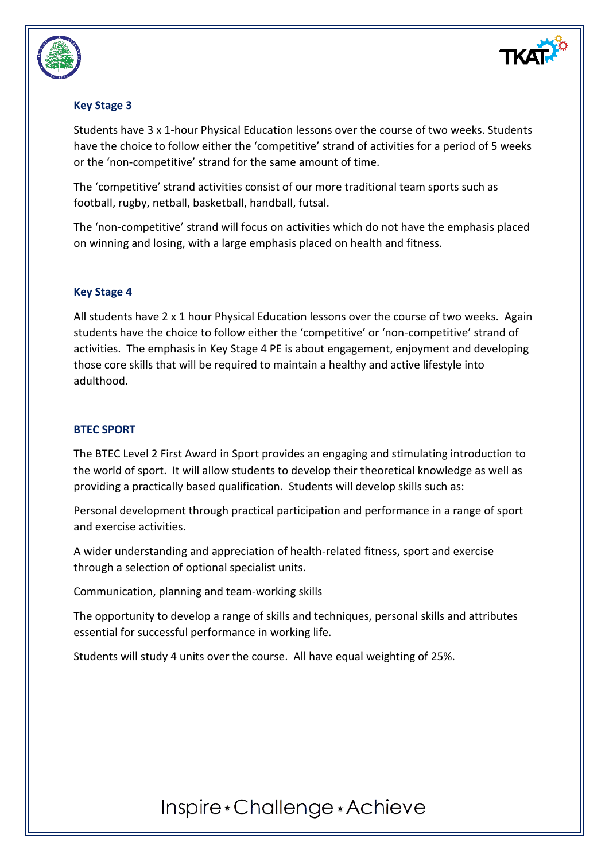

#### **Key Stage 3**

Students have 3 x 1-hour Physical Education lessons over the course of two weeks. Students have the choice to follow either the 'competitive' strand of activities for a period of 5 weeks or the 'non-competitive' strand for the same amount of time.

The 'competitive' strand activities consist of our more traditional team sports such as football, rugby, netball, basketball, handball, futsal.

The 'non-competitive' strand will focus on activities which do not have the emphasis placed on winning and losing, with a large emphasis placed on health and fitness.

#### **Key Stage 4**

All students have 2 x 1 hour Physical Education lessons over the course of two weeks. Again students have the choice to follow either the 'competitive' or 'non-competitive' strand of activities. The emphasis in Key Stage 4 PE is about engagement, enjoyment and developing those core skills that will be required to maintain a healthy and active lifestyle into adulthood.

#### **BTEC SPORT**

The BTEC Level 2 First Award in Sport provides an engaging and stimulating introduction to the world of sport. It will allow students to develop their theoretical knowledge as well as providing a practically based qualification. Students will develop skills such as:

Personal development through practical participation and performance in a range of sport and exercise activities.

A wider understanding and appreciation of health-related fitness, sport and exercise through a selection of optional specialist units.

Communication, planning and team-working skills

The opportunity to develop a range of skills and techniques, personal skills and attributes essential for successful performance in working life.

Students will study 4 units over the course. All have equal weighting of 25%.

### Inspire \* Challenge \* Achieve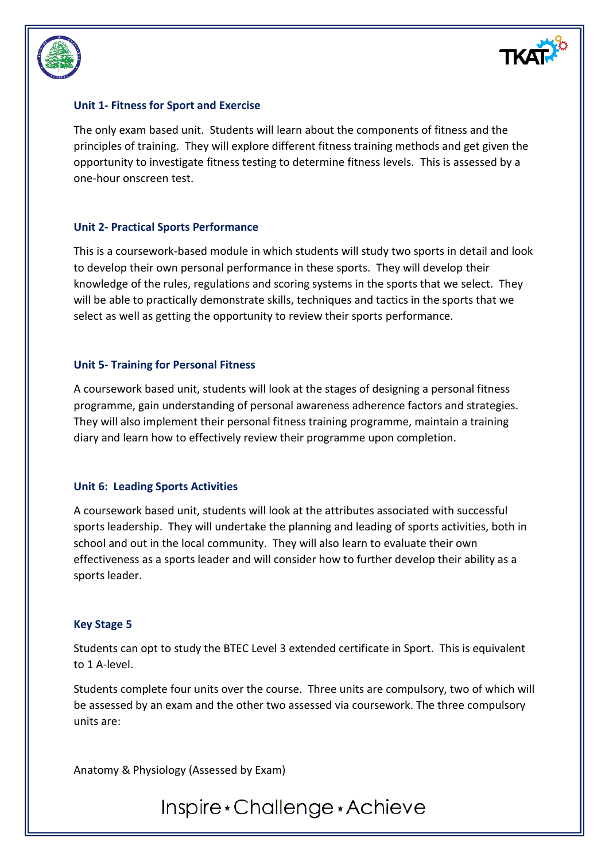



#### **Unit 1- Fitness for Sport and Exercise**

The only exam based unit. Students will learn about the components of fitness and the principles of training. They will explore different fitness training methods and get given the opportunity to investigate fitness testing to determine fitness levels. This is assessed by a one-hour onscreen test.

#### **Unit 2- Practical Sports Performance**

This is a coursework-based module in which students will study two sports in detail and look to develop their own personal performance in these sports. They will develop their knowledge of the rules, regulations and scoring systems in the sports that we select. They will be able to practically demonstrate skills, techniques and tactics in the sports that we select as well as getting the opportunity to review their sports performance.

#### **Unit 5- Training for Personal Fitness**

A coursework based unit, students will look at the stages of designing a personal fitness programme, gain understanding of personal awareness adherence factors and strategies. They will also implement their personal fitness training programme, maintain a training diary and learn how to effectively review their programme upon completion.

#### **Unit 6: Leading Sports Activities**

A coursework based unit, students will look at the attributes associated with successful sports leadership. They will undertake the planning and leading of sports activities, both in school and out in the local community. They will also learn to evaluate their own effectiveness as a sports leader and will consider how to further develop their ability as a sports leader.

#### **Key Stage 5**

Students can opt to study the BTEC Level 3 extended certificate in Sport. This is equivalent to 1 A-level.

Students complete four units over the course. Three units are compulsory, two of which will be assessed by an exam and the other two assessed via coursework. The three compulsory units are:

Anatomy & Physiology (Assessed by Exam)

### Inspire \* Challenge \* Achieve